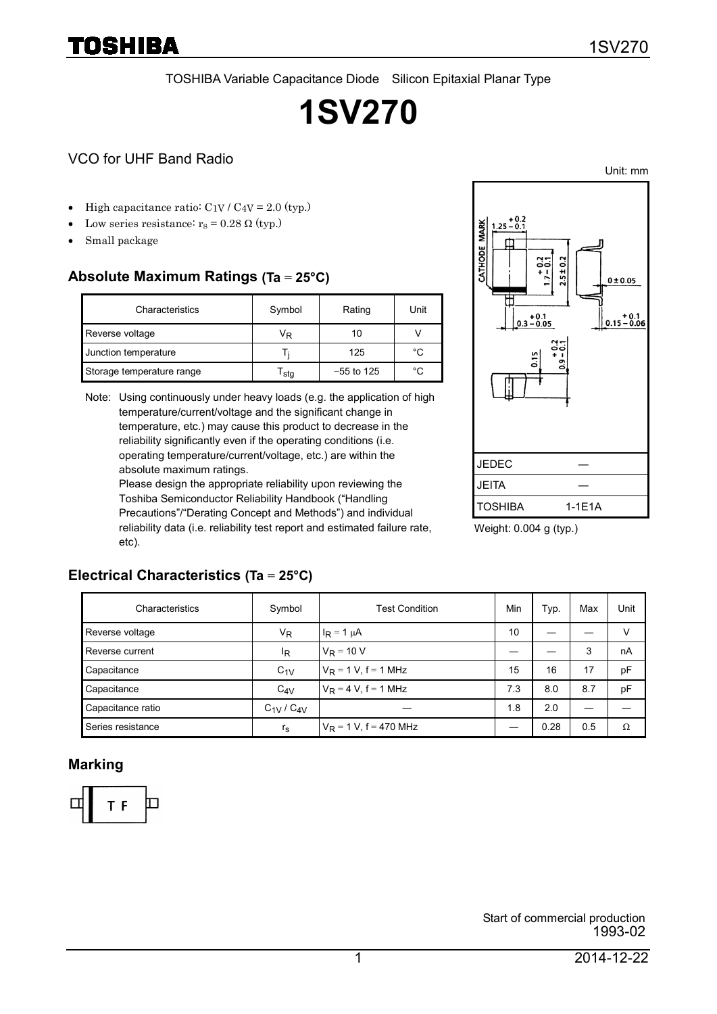TOSHIBA Variable Capacitance Diode Silicon Epitaxial Planar Type

# **1SV270**

#### VCO for UHF Band Radio

- High capacitance ratio:  $C_{1V}$  /  $C_{4V}$  = 2.0 (typ.)
- Low series resistance:  $r_s = 0.28 \Omega$  (typ.)
- Small package

TOSHIBA

#### **Absolute Maximum Ratings (Ta = 25°C)**

| Characteristics           | Symbol | Rating       | Unit |
|---------------------------|--------|--------------|------|
| Reverse voltage           | Vĸ     | 10           |      |
| Junction temperature      | н.     | 125          | °C   |
| Storage temperature range | stq    | $-55$ to 125 | °C   |

Note: Using continuously under heavy loads (e.g. the application of high temperature/current/voltage and the significant change in temperature, etc.) may cause this product to decrease in the reliability significantly even if the operating conditions (i.e. operating temperature/current/voltage, etc.) are within the absolute maximum ratings.

Please design the appropriate reliability upon reviewing the Toshiba Semiconductor Reliability Handbook ("Handling Precautions"/"Derating Concept and Methods") and individual reliability data (i.e. reliability test report and estimated failure rate, etc).



Weight: 0.004 g (typ.)

#### **Electrical Characteristics (Ta = 25°C)**

| Characteristics   | Symbol              | <b>Test Condition</b>     | Min | Typ. | Max | Unit |
|-------------------|---------------------|---------------------------|-----|------|-----|------|
| Reverse voltage   | V <sub>R</sub>      | $I_R = 1 \mu A$           | 10  |      |     | v    |
| Reverse current   | <sup>I</sup> R      | $V_R = 10 V$              |     |      | 3   | nA   |
| Capacitance       | $C_{1V}$            | $V_R = 1 V$ , f = 1 MHz   | 15  | 16   | 17  | pF   |
| Capacitance       | $C_{4V}$            | $V_R = 4 V, f = 1 MHz$    | 7.3 | 8.0  | 8.7 | pF   |
| Capacitance ratio | $C_{1V}$ / $C_{4V}$ |                           | 1.8 | 2.0  |     |      |
| Series resistance | $r_{\rm s}$         | $V_R = 1 V$ , f = 470 MHz |     | 0.28 | 0.5 | Ω    |

#### **Marking**



Unit: mm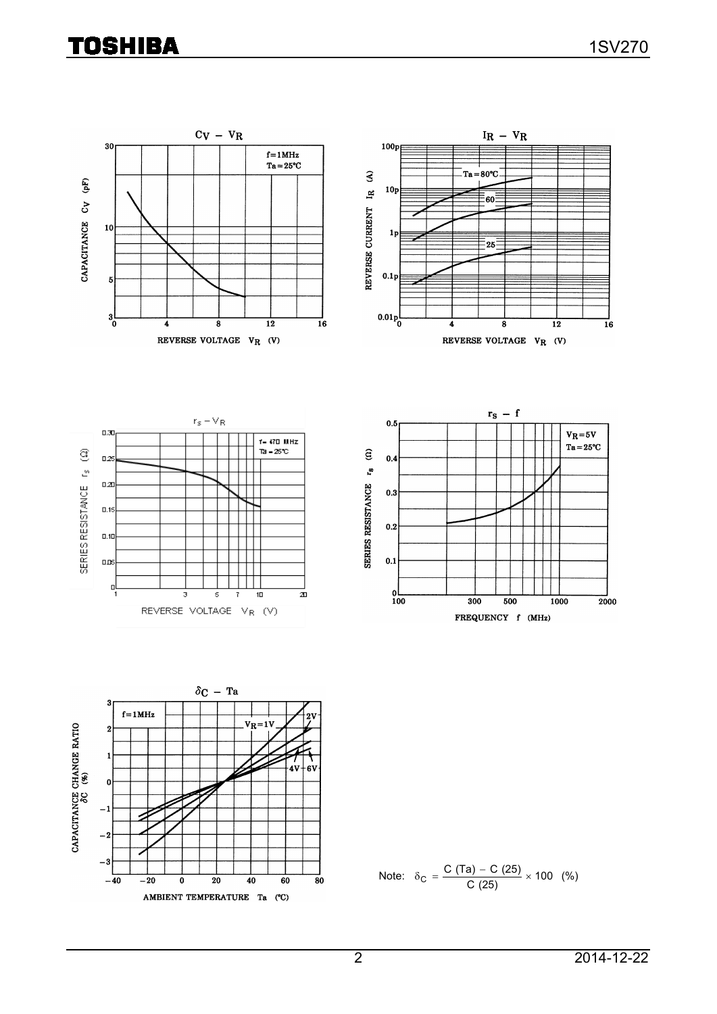## **TOSHIBA**